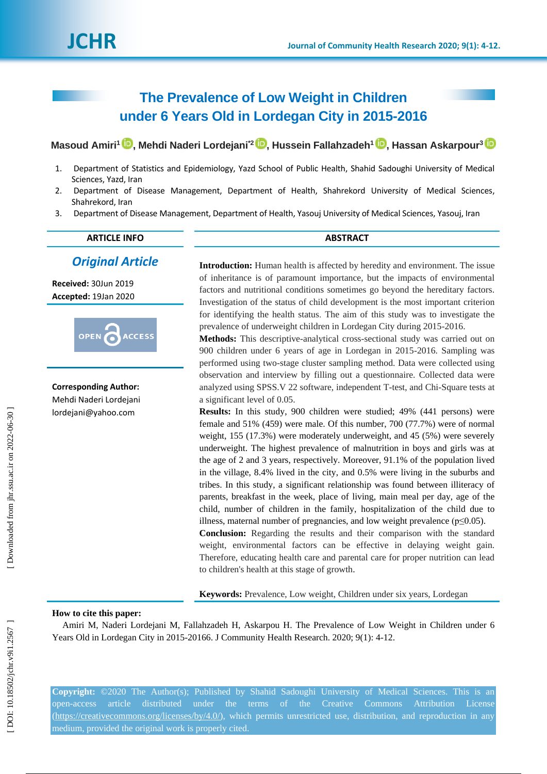

# **The Prevalence of Low Weight in Children under 6 Years Old in Lordegan City in 2015 -2016**

# **Masoud Amiri 1 [,](https://orcid.org/0000-0002-0275-0820) Mehdi Naderi Lordejani \* 2 , Hussein Fallahzadeh 1 [,](https://orcid.org/0000-0002-5122-9062) Hassan Askarpour 3**

- 1 . Department of Statistics and Epidemiology, Yazd School of Public Health, Shahid Sadoughi University of Medical Sciences, Yazd, Iran
- $\mathfrak{p}$ . Department of Disease Management, Department of Health, Shahrekord University of Medical Sciences, Shahrekord, Iran
- 3. . Department of Disease Management, Department of Health, Yasouj University of Medical Sciences, Yasouj, Iran

#### **ARTICLE INFO ABSTRACT**

# *Original Article*

**Received:** 30Jun 201 9 **Accepted:** 19Jan 2020



**Corresponding Author:** Mehdi Naderi Lordejani lordejani@yahoo.com

**Introduction:** Human health is affected by heredity and environment. The issue of inheritance is of paramount importance, but the impacts of environmental factors and nutritional conditions sometimes go beyond the hereditary factors. Investigation of the status of child development is the most important criterion for identifying the health status . The aim of this study was to investigate the prevalence of underweight children in Lordegan City during 2015 -2016.

Methods: This descriptive-analytical cross-sectional study was carried out on 900 children under 6 years of age in Lordegan in 2015 -2016. Sampling was performed using two -stage cluster sampling method. Data were collected using observation and interview by filling out a questionnaire. Collected data were analyzed using SPSS.V 22 software, independent T -test, and Chi -Square tests at a significant level of 0.05.

**Results:** In this study, 900 children were studied; 49% (441 persons) were female and 51% (459) were male. Of this number, 700 (77.7%) were of normal weight, 155 (17.3%) were moderately underweight, and 45 (5%) were severely underweight. The highest prevalence of malnutrition in boys and girls was at the age of 2 and 3 years, respectively. Moreover, 91.1% of the population lived in the village, 8.4% lived in the city, and 0.5% were living in the suburbs and tribes. In this study, a significant relationship was found between illiteracy of parents, breakfast in the week, place of living, main meal per day, age of the child, number of children in the family, hospitalization of the child due to illness, maternal number of pregnancies, and low weight prevalence ( $p \leq 0.05$ ).

**Conclusion:** Regarding the results and their comparison with the standard weight, environmental factors can be effective in delaying weight gain. Therefore, educating health care and parental care for proper nutrition can lead to children's health at this stage of growth .

**Keywords:** Prevalence, Low weight, Children under six years, Lordegan

#### **How to cite this paper:**

Amiri M, Naderi Lordejani M, Fallahzadeh H , Askarpou H. The Prevalence of Low Weight in Children under 6 Years Old in Lordegan City in 2015-20166. J Community Health Research. 2020; 9(1): 4-12.

**Copyright:** ©2020 The Author(s); Published by Shahid Sadoughi University of Medical Sciences. This is an open-access article distributed under the terms of the Creative Commons Attribution License [\(https://creativecommons.org/licenses/by/4.0/\)](https://creativecommons.org/licenses/by/4.0/), which permits unrestricted use, distribution, and reproduction in any medium, provided the original work is properly cited.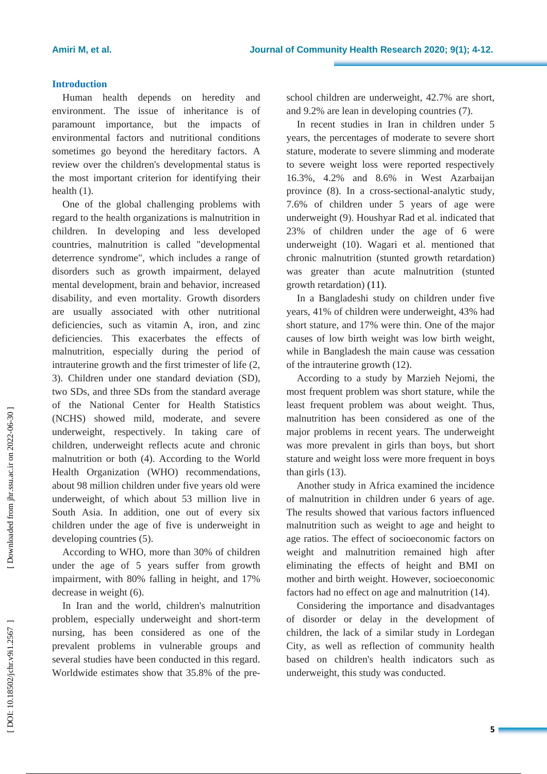#### **Introduction**

Human health depends on heredity and environment. The issue of inheritance is of paramount importance, but the impacts of environmental factors and nutritional conditions sometimes go beyond the hereditary factors. A review over the children's developmental status is the most important criterion for identifying their health (1).

One of the global challenging problems with regard to the health organizations is malnutrition in children. In developing and less developed countries, malnutrition is called "developmental deterrence syndrome", which includes a range of disorders such as growth impairment, delayed mental development, brain and behavior, increased disability, and even mortality. Growth disorders are usually associated with other nutritional deficiencies , such as vitamin A, iron , and zinc deficiencies. This exacerbates the effects of malnutrition, especially during the period of intrauterine growth and the first trimester of life (2, 3). Children under one standard deviation (SD), two SD s, and three SDs from the standard average of the National Center for Health Statistics (NCHS) showed mild, moderate, and severe underweight, respectively. In taking care of children, underweight reflects acute and chronic malnutrition or both (4). According to the World Health Organization (WHO) recommendations, about 98 million children under five years old were underweight, of which about 53 million live in South Asia. In addition, one out of every six children under the age of five is underweight in developing countries (5).

According to WHO, more than 30% of children under the age of 5 years suffer from growth impairment, with 80% falling in height, and 17% decrease in weight (6).

In Iran and the world, children's malnutrition problem, especially underweight and short -term nursing, has been considered as one of the prevalent problems in vulnerable groups and several studies have been conducted in this regard. Worldwide estimates show that 35.8% of the pre -

school children are underweight , 42.7% are short , and 9.2% are lean in developing countries (7).

In recent studies in Iran in children under 5 years, the percentages of moderate to severe short stature, moderate to severe slimming and moderate to severe weight loss were reported respectively 16.3%, 4.2% and 8.6% in West Azarbaijan province (8). In a cross-sectional-analytic study, 7.6% of children under 5 years of age were underweight (9) . Houshyar Rad et al. indicated that 23% of children under the age of 6 were underweight (10). Wagari et al. mentioned that chronic malnutrition (stunted growth retardation) was greater than acute malnutrition (stunted growth retardation) (11) .

In a Bangladeshi study on children under five years, 41% of children were underweight, 43% had short stature, and 17% were thin. One of the major causes of low birth weight was low birth weight, while in Bangladesh the main cause was cessation of the intrauterine growth (12).

According to a study by Marzieh Nejomi, the most frequent problem was short stature, while the least frequent problem was about weight. Thus, malnutrition has been considered as one of the major problems in recent years. The underweight was more prevalent in girls than boys, but short stature and weight loss were more frequent in boys than girls (13).

Another study in Africa examined the incidence of malnutrition in children under 6 years of age. The results showed that various factors influence d malnutrition such as weight to age and height to age ratios. The effect of socioeconomic factors on weight and malnutrition remained high after eliminating the effect s of height and BMI on mother and birth weight. However, socioeconomic factors had no effect on age and malnutrition (14).

Considering the importance and disadvantage s of disorder or delay in the development of children , the lack of a similar study in Lordegan City, as well as reflection of community health based on children's health indicators such as underweight, this study was conducted.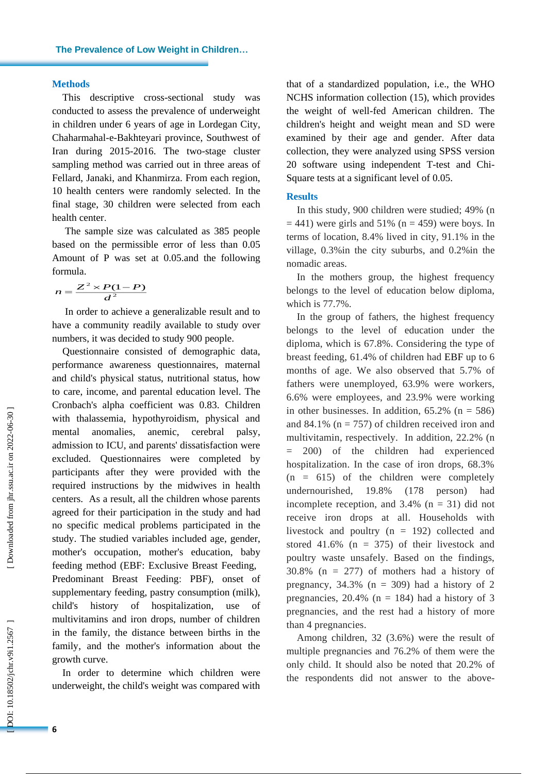#### **Methods**

This descriptive cross -sectional study was conducted to assess the prevalence of underweight in children under 6 years of age in Lordegan City, Chaharmahal - e -Bakhteyari province, Southwest of Iran during 201 5 -201 6 . The two -stage cluster sampling method was carried out in three areas of Fellard, Janaki , and Khanmirza. From each region, 10 health centers were randomly selected . In the final stage , 30 children were selected from each health center .

The sample size was calculated as 385 people based on the permissible error of less than 0.05 Amount of P was set at 0.05.and the following formula.

$$
n = \frac{Z^2 \times P(1-P)}{d^2}
$$

In order to achieve a generalizable result and to have a community readily available to study over numbers, it was decided to study 900 people .

Questionnaire consisted of demographic data, performance awareness questionnaires, maternal and child's physical status, nutritional status, how to care, income, and parental education level. The Cronbach's alpha coefficient was 0.83. Children with thalassemia, hypothyroidism, physical and mental anomalies, anemic, cerebral palsy , admission to ICU, and parents' dissatisfaction were excluded. Questionnaires were completed by participants after they were provided with the required instructions by the midwives in health centers. As a result, all the children whose parents agreed for their participation in the study and had no specific medical problem s participated in the study. The studied variables include d age, gender, mother's occupation, mother's education, baby feeding method (EBF: Exclusive Breast Feeding, Predominant Breast Feeding : PBF), onset of supplementary feeding, pastry consumption (milk), child's history of hospitalization, use of multivitamins and iron drops, number of children in the family, the distance between births in the family , and the mother's information about the growth curve.

In order to determine which children were underweight, the child's weight was compared with that of a standardized population, i.e., the WHO NCHS information collection (15 ), which provides the weight of well -fed American children. The children's height and weight mean and SD were examined by their age and gender. After data collection, they were analyzed using SPSS version 20 software using independent T -test and Chi - Square tests at a significant level of 0.05.

#### **Results**

In this study, 900 children were studied; 49% (n  $= 441$ ) were girls and 51% (n = 459) were boys. In terms of location, 8. 4% lived in city, 91.1 % in the village, 0.3 %in the city suburbs, and 0.2 %in the nomadic areas .

In the mothers group, the highest frequency belongs to the level of education below diploma, which is 77.7%.

In the group of fathers, the highest frequency belongs to the level of education under the diploma, which is 67.8%. Considering the type of breast feeding, 61.4% of children had EBF up to 6 months of age. We also observed that 5.7% of fathers were unemployed, 63.9% were workers, 6.6% were employees , and 23.9% were working in other businesses. In addition,  $65.2\%$  (n = 586) and 84.1% ( $n = 757$ ) of children received iron and multivitamin, respectively. In addition, 22.2% (n = 200) of the children had experienced hospitalization. In the case of iron drops, 68.3%  $(n = 615)$  of the children were completely undernourished, 19.8% (178 person) had incomplete reception, and  $3.4\%$  (n = 31) did not receive iron drops at all. Households with livestock and poultry (n = 192) collected and stored 41.6% (n = 375) of their livestock and poultry waste unsafely. Based on the findings, 30.8% (n = 277) of mothers had a history of pregnancy,  $34.3\%$  (n = 309) had a history of 2 pregnancies,  $20.4\%$  (n = 184) had a history of 3 pregnancies, and the rest had a history of more than 4 pregnancies.

Among children, 32 (3.6%) were the result of multiple pregnancies and 76.2% of them were the only child. It should also be noted that 20.2% of the respondents did not answer to the above -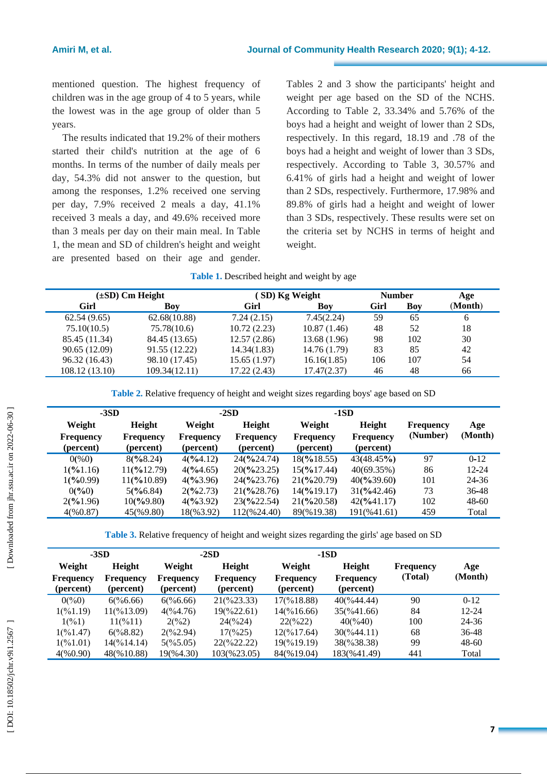mentioned question. The highest frequency of children was in the age group of 4 to 5 years, while the lowest was in the age group of older than 5 years .

The results indicated that 19.2% of their mothers started their child's nutrition at the age of 6 months. In terms of the number of daily meals per day, 54.3% did not answer to the question, but among the responses, 1.2% received one serving per day, 7.9% received 2 meals a day, 41.1% received 3 meals a day , and 49.6% received more than 3 meals per day on their main meal. In Table 1, the mean and SD of children's height and weight are presented based on their age and gender.

Tables 2 and 3 show the participants' height and weight per age based on the SD of the NCHS. According to Table 2, 33.34% and 5.76% of the boys had a height and weight of lower than 2 SDs, respectively. In this regard, 18.19 and .78 of the boys had a height and weight of lower than 3 SDs, respectively. According to Table 3, 30.57 % and 6.41 % of girls had a height and weight of lower than 2 SDs, respectively. Furthermore, 17 .98 % and 89 . 8 % of girls had a height and weight of lower than 3 SDs, respectively. These results were set on the criteria set by NCHS in terms of height and weight.

| Table 1. Described height and weight by age |  |  |  |
|---------------------------------------------|--|--|--|
|---------------------------------------------|--|--|--|

| $(\pm SD)$ Cm Height |               | (SD) Kg Weight |              | <b>Number</b> |     | Age     |
|----------------------|---------------|----------------|--------------|---------------|-----|---------|
| Girl                 | Boy           | Girl           | Boy          | Girl          | Boy | (Month) |
| 62.54(9.65)          | 62.68(10.88)  | 7.24(2.15)     | 7.45(2.24)   | 59            | 65  | 6       |
| 75.10(10.5)          | 75.78(10.6)   | 10.72(2.23)    | 10.87(1.46)  | 48            | 52  | 18      |
| 85.45 (11.34)        | 84.45 (13.65) | 12.57(2.86)    | 13.68 (1.96) | 98            | 102 | 30      |
| 90.65 (12.09)        | 91.55 (12.22) | 14.34(1.83)    | 14.76 (1.79) | 83            | 85  | 42      |
| 96.32 (16.43)        | 98.10 (17.45) | 15.65(1.97)    | 16.16(1.85)  | 106           | 107 | 54      |
| 108.12 (13.10)       | 109.34(12.11) | 17.22(2.43)    | 17.47(2.37)  | 46            | 48  | 66      |

Table 2. Relative frequency of height and weight sizes regarding boys' age based on SD

| $-3SD$           |                  | $-1SD$<br>$-2SD$   |                         |                       |                         |                  |           |
|------------------|------------------|--------------------|-------------------------|-----------------------|-------------------------|------------------|-----------|
| Weight           | Height           | Weight             | Height                  | Weight                | Height                  | <b>Frequency</b> | Age       |
| <b>Frequency</b> | <b>Frequency</b> | <b>Frequency</b>   | <b>Frequency</b>        | <b>Frequency</b>      | <b>Frequency</b>        | (Number)         | (Month)   |
| (percent)        | (percent)        | (percent)          | (percent)               | (percent)             | (percent)               |                  |           |
| $0\,(%0)$        | 8(%8.24)         | 4(%4.12)           | 24(%24.74)              | $18(\frac{9}{18.55})$ | 43(48.45%)              | 97               | $0 - 12$  |
| 1(%1.16)         | 11(%12.79)       | 4(%4.65)           | 20(%23.25)              | 15(%17.44)            | 40(69.35%)              | 86               | $12 - 24$ |
| $1(^{9}60.99)$   | 11(%10.89)       | 4(%3.96)           | $24(^{9}\text{/}23.76)$ | $21($ % $20.79)$      | $40(^{9}\text{6}39.60)$ | 101              | 24-36     |
| 0(%0)            | 5(%6.84)         | $2($ %2.73)        | $21($ % $28.76)$        | 14(%19.17)            | $31(^{9}642.46)$        | 73               | 36-48     |
| 2(%1.96)         | 10(%9.80)        | $4(^{9}\!\!63.92)$ | $23(^{9}\!/\!22.54)$    | $21(^{9}\,620.58)$    | $42($ %41.17)           | 102              | 48-60     |
| $4(\%0.87)$      | 45(%9.80)        | 18(%3.92)          | 112(%24.40)             | 89(%19.38)            | 191(%41.61)             | 459              | Total     |

**Table 3.** Relative frequency of height and weight sizes regarding the girls' age based on SD

|                               | $-3SD$                        |                               | $-2SD$                        |                               | $-1SD$                        |                  |           |
|-------------------------------|-------------------------------|-------------------------------|-------------------------------|-------------------------------|-------------------------------|------------------|-----------|
| Weight                        | <b>Height</b>                 | Weight                        | Height                        | Weight                        | Height                        | <b>Frequency</b> | Age       |
| <b>Frequency</b><br>(percent) | <b>Frequency</b><br>(percent) | <b>Frequency</b><br>(percent) | <b>Frequency</b><br>(percent) | <b>Frequency</b><br>(percent) | <b>Frequency</b><br>(percent) | (Total)          | (Month)   |
| $0\frac{\%}{0}$               | $6\%6.66$                     | $6(\frac{6}{6}6.66)$          | $21(\frac{9}{23.33})$         | $17(\frac{9}{18.88})$         | $40(^{9}644.44)$              | 90               | $0-12$    |
| 1(%1.19)                      | 11(%13.09)                    | 4(%4.76)                      | 19(%22.61)                    | $14\frac{9}{6}16.66$          | $35(\frac{9}{41.66})$         | 84               | $12 - 24$ |
| $1(^{96}1)$                   | $11\frac{6}{11}$              | 2(%2)                         | $24\binom{9}{24}$             | $22(^{9}622)$                 | $40\,(%40)$                   | 100              | 24-36     |
| 1(%1.47)                      | $6\,(%8.82)$                  | 2(%2.94)                      | 17(%25)                       | $12\frac{6}{17.64}$           | 30(%44.11)                    | 68               | 36-48     |
| 1(%1.01)                      | 14(%14.14)                    | $5(\frac{6}{5.05})$           | 22(%22.22)                    | $19\frac{6}{19.19}$           | 38(%38.38)                    | 99               | 48-60     |
| 4(%0.90)                      | 48(%10.88)                    | 19(%4.30)                     | 103(%23.05)                   | 84(%19.04)                    | 183(%41.49)                   | 441              | Total     |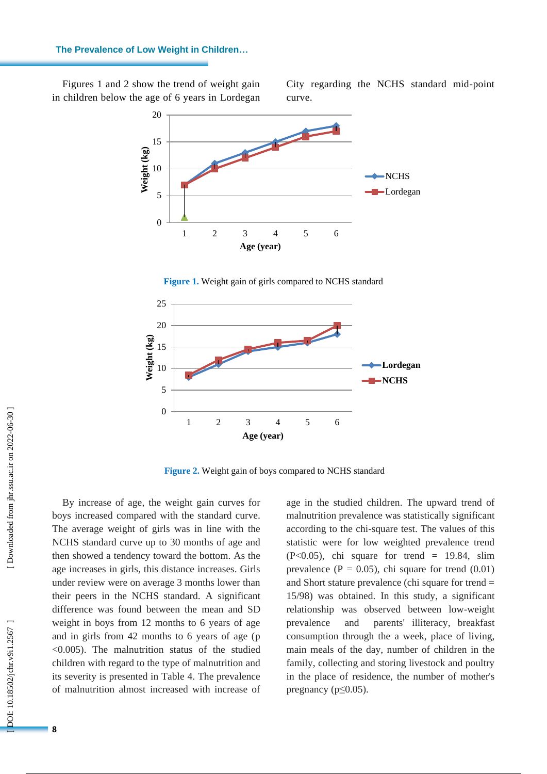Figures 1 and 2 show the trend of weight gain in children below the age of 6 years in Lordegan

City regarding the NCHS standard mid -point curve.







**Figure 2.** Weight gain of boys compared to NCHS standard

By increase of age, the weight gain curves for boys increased compared with the standard curve. The average weight of girls was in line with the NCHS standard curve up to 30 months of age and then showed a tendency toward the bottom. As the age increases in girls, this distance increases. Girls under review were on average 3 months lower than their peers in the NCHS standard. A significant difference was found between the mean and SD weight in boys from 12 months to 6 years of age and in girls from 42 months to 6 years of age ( p <0.005). The malnutrition status of the studied children with regard to the type of malnutrition and its severity is presented in Table 4. The prevalence of malnutrition almost increased with increase of

age in the studied children. The upward trend of malnutrition prevalence was statistically significant according to the chi -square test. The values of this statistic were for low weighted prevalence trend  $(P<0.05)$ , chi square for trend = 19.84, slim prevalence ( $P = 0.05$ ), chi square for trend (0.01) and Short stature prevalence (chi square for trend = 15/98) was obtained. In this study, a significant relationship was observed between low -weight prevalence and parents' illiteracy, breakfast consumption through the a week, place of living, main meal s of the day, number of children in the family, collecting and storing livestock and poultry in the place of residence, the number of mother's pregnancy ( $p \leq 0.05$ ).

**8**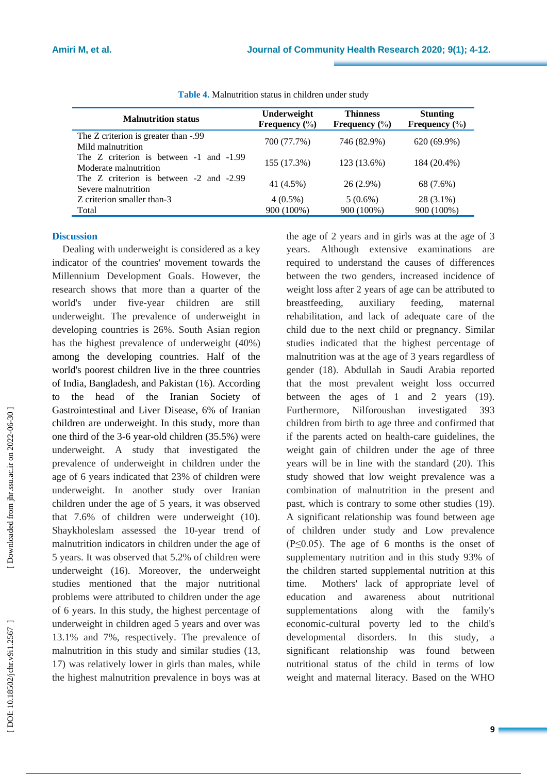| <b>Malnutrition status</b>                                             | Underweight<br>Frequency $(\% )$ | <b>Thinness</b><br>Frequency $(\% )$ | <b>Stunting</b><br>Frequency $(\% )$ |
|------------------------------------------------------------------------|----------------------------------|--------------------------------------|--------------------------------------|
| The Z criterion is greater than -.99<br>Mild malnutrition              | 700 (77.7%)                      | 746 (82.9%)                          | 620 (69.9%)                          |
| The $Z$ criterion is between $-1$ and $-1.99$<br>Moderate malnutrition | 155 (17.3%)                      | 123 (13.6%)                          | 184 (20.4%)                          |
| The Z criterion is between $-2$ and $-2.99$<br>Severe malnutrition     | 41 (4.5%)                        | $26(2.9\%)$                          | 68 (7.6%)                            |
| Z criterion smaller than-3                                             | $4(0.5\%)$                       | $5(0.6\%)$                           | 28 (3.1%)                            |
| Total                                                                  | 900 (100%)                       | 900 (100%)                           | 900 (100%)                           |

**Table 4.** Malnutrition status in children under study

#### **Discussion**

Dealing with underweight is considered as a key indicator of the countries' movement towards the Millennium Development Goals. However, the research shows that more than a quarter of the world's under five -year children are still underweight. The prevalence of underweight in developing countries is 26%. South Asian region has the highest prevalence of underweight (40%) among the developing countries. Half of the world's poorest children live in the three countries of India, Bangladesh , and Pakistan (16). According to the head of the Iranian Society of Gastrointestinal and Liver Disease, 6% of Iranian children are underweight. In this study, more than one third of the 3 -6 year -old children (35.5%) were underweight. A study that investigated the prevalence of underweight in children under the age of 6 years indicated that 23% of children were underweight. In another study over Iranian children under the age of 5 years, it was observed that 7.6% of children were underweight (10). Shaykholeslam assessed the 10-year trend of malnutrition indicators in children under the age of 5 years. It was observed that 5.2% of children were underweight (16). Moreover, the underweight studies mentioned that the major nutritional problems were attributed to children under the age of 6 years. In this study, the highest percentage of underweight in children aged 5 years and over was 13.1% and 7% , respectively. The prevalence of malnutrition in this study and similar studies ( 1 3 , 1 7 ) was relatively lower in girls than males, while the highest malnutrition prevalence in boys was at

the age of 2 years and in girls was at the age of 3 years. Although extensive examinations are required to understand the causes of difference s between the two genders, increase d incidence of weight loss after 2 years of age can be attributed to breastfeeding, auxiliary feeding, maternal rehabilitation, and lack of adequate care of the child due to the next child or pregnancy. Similar studies indicated that the highest percentage of malnutrition was at the age of 3 years regardless of gender ( 1 8 ) . Abdullah in Saudi Arabia reported that the most prevalent weight loss occurred between the ages of 1 and 2 years (19). Furthermore, Nilforoushan investigated 393 children from birth to age three and confirmed that if the parents acted on health -care guidelines, the weight gain of children under the age of three years will be in line with the standard ( 2 0). This study showed that low weight prevalence was a combination of malnutrition in the present and past, which is contrary to some other studies (19). A significant relationship was found between age of children under study and Low prevalence (P≤0.05). The age of 6 months is the onset of supplementary nutrition and in this study 93% of the children started supplemental nutrition at this time. Mothers' lack of appropriate level of education and awareness about nutritional supplementations along with the family's economic -cultural poverty led to the child's developmental disorders. In this study, a significant relationship was found between nutritional status of the child in terms of low weight and maternal literacy. Based on the WHO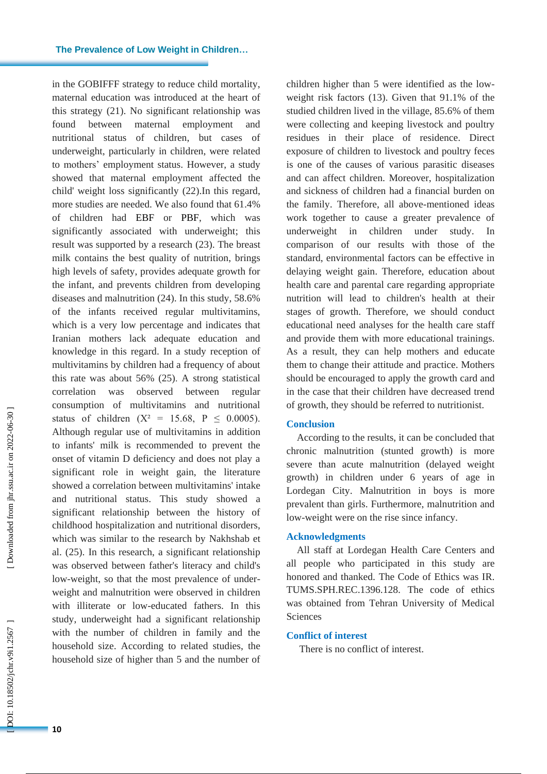in the GOBIFFF strategy to reduce child mortality, maternal education was introduced at the heart of this strategy ( 2 1). No significant relationship was found between maternal employment and nutritional status of children, but cases of underweight, particularly in children, were related to mothers' employment status. However, a study showed that maternal employment affected the child' weight loss significantly ( 2 2).In this regard, more studies are needed. We also found that 61.4% of children had EBF or PBF, which was significantly associated with underweight; this result was supported by a research ( 2 3). The breast milk contains the best quality of nutrition, brings high levels of safety, provides adequate growth for the infant , and prevents children from developing disease s and malnutrition ( 2 4). In this study, 58.6% of the infants received regular multivitamins, which is a very low percentage and indicates that Iranian mothers lack adequate education and knowledge in this regard. In a study reception of multivitamins by children had a frequency of about this rate was about 56% ( 2 5 ) . A strong statistical correlation was observed between regular consumption of multivitamins and nutritional status of children  $(X^2 = 15.68, P \le 0.0005)$ . Although regular use of multivitamins in addition to infants' milk is recommended to prevent the onset of vitamin D deficiency and does not play a significant role in weight gain, the literature showed a correlation between multivitamins' intake and nutritional status. This study showed a significant relationship between the history of childhood hospitalization and nutritional disorders, which was similar to the research by Na khshab et al. ( 2 5). In this research, a significant relationship was observed between father's literacy and child's low-weight, so that the most prevalence of underweight and malnutrition were observed in children with illiterate or low -educated fathers. In this study, underweight had a significant relationship with the number of children in family and the household size. According to related studies, the household size of higher than 5 and the number of

children higher than 5 were identified as the low weight risk factors (13). Given that 91.1% of the studied children live d in the village, 85.6% of them were collecting and keeping livestock and poultry residues in their place of residence. Direct exposure of children to livestock and poultry feces is one of the causes of various parasitic diseases and can affect children. Moreover, hospitalization and sickness of children had a financial burden on the family. Therefore, all above -mentioned ideas work together to cause a greater prevalence of underweight in children under study. In comparison of our results with those of the standard, environmental factors can be effective in delaying weight gain. Therefore, education about health care and parental care regarding appropriate nutrition will lead to children's health at their stage s of growth. Therefore, we should conduct educational need analyses for the health care staff and provid e them with more educational training s. As a result, they can help mothers and educate them to change their attitude and practice. Mothers should be encouraged to apply the growth card and in the case that their children have decreased trend of growth, they should be referred to nutritionist.

#### **Conclusion**

According to the results, it can be concluded that chronic malnutrition (stunted growth) is more severe than acute malnutrition (delayed weight growth) in children under 6 years of age in Lordegan City. Malnutrition in boys is more prevalent than girls. Furthermore, malnutrition and low -weight were on the rise since infancy.

#### **Acknowledgments**

All staff at Lorde gan Health Care Centers and all people who participated in this study are honored and thanked. The Code of Ethics was IR. TUMS.SPH.REC.1396.128. The code of ethics was obtained from Tehran University of Medical **Sciences** 

#### **Conflict of interest**

There is no conflict of interest.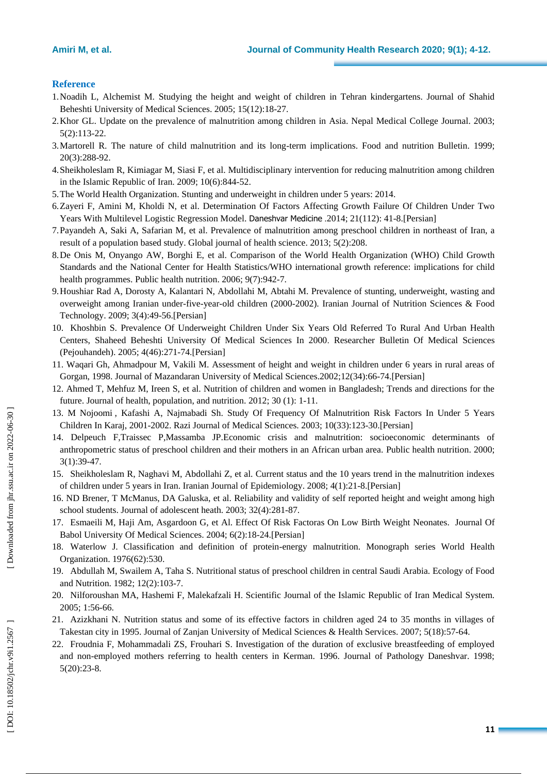### **Reference**

- 1.Noadih L, Alchemist M. Studying the height and weight of children in Tehran kindergartens. Journal of Shahid Beheshti University of Medical Sciences. 2005; 15(12):18 -27 .
- 2.Khor GL. Update on the prevalence of malnutrition among children in Asia. Nepal Medical College Journal. 2003; 5(2):113 -22.
- 3.Martorell R. The nature of child malnutrition and its long -term implications. Food and nutrition Bulletin. 1999; 20(3):288 -92.
- 4.Sheikholeslam R, Kimiagar M, Siasi F, et al. Multidisciplinary intervention for reducing malnutrition among children in the Islamic Republic of Iran. 2009; 10(6):844 -52 .
- 5.The World Health Organization . Stunting and underweight in children under 5 years: 2014.
- 6.Zayeri F, Amini M, Kholdi N, et al. Determination Of Factors Affecting Growth Failure Of Children Under Two Years With Multilevel Logistic Regression Model. Daneshvar Medicine .2014; 21(112): 41-8.[Persian]
- 7.Payandeh A, Saki A, Safarian M, et al. Prevalence of malnutrition among preschool children in northeast of Iran, a result of a population based study. Global journal of health science. 2013; 5(2):208.
- 8.De Onis M, Onyango AW, Borghi E, et al. Comparison of the World Health Organization (WHO) Child Growth Standards and the National Center for Health Statistics/WHO international growth reference: implications for child health programmes. Public health nutrition. 2006; 9(7):942 -7.
- 9.Houshiar Rad A, Dorosty A, Kalantari N, Abdollahi M, Abtahi M. Prevalence of stunting, underweight, wasting and overweight among Iranian under-five-year-old children (2000-2002). Iranian Journal of Nutrition Sciences & Food Technology. 2009; 3(4):49 -56.[Persian]
- 10. Khoshbin S. [Prevalence Of Underweight Children Under Six Years Old Referred To Rural And Urban Health](https://www.sid.ir/En/Journal/ViewPaper.aspx?ID=72231)  [Centers, Shaheed Beheshti University Of Medical Sciences In 2000](https://www.sid.ir/En/Journal/ViewPaper.aspx?ID=72231) . Researcher Bulletin Of Medical Sciences (Pejouhandeh) . 2005; 4(46):271 -74.[Persian]
- 11. Waqari Gh, Ahmadpour M, Vakili M. Assessment of height and weight in children under 6 years in rural areas of Gorgan, 1998. Journal of Mazandaran University of Medical Sciences.2002;12(34):66-74.[Persian]
- 12. Ahmed T, Mehfuz M, Ireen S, et al. Nutrition of children and women in Bangladesh; Trends and directions for the future. Journal of health, population, and nutrition. 2012; 30 (1): 1 -11.
- 13. [M Nojoomi](http://rjms.iums.ac.ir/search.php?sid=1&slc_lang=en&auth=Nojoomi) , Kafashi A, Najmabadi Sh. [Study Of Frequency Of Malnutrition Risk Factors In Under 5 Years](http://rjms.iums.ac.ir/article-1-146-en.pdf)  [Children In Karaj, 2001](http://rjms.iums.ac.ir/article-1-146-en.pdf)-2002. Razi Journal of Medical Sciences. 2003; 10(33):123-30.[Persian]
- 14. Delpeuch F,Traissec P,Massamba JP.Economic crisis and malnutrition: socioeconomic determinants of anthropometric status of preschool children and their mothers in an African urban area. Public health nutrition . 2000; 3(1):39 -47.
- 15. Sheikholeslam R, Naghavi M, Abdollahi Z, et al. Current status and the 10 years trend in the malnutrition indexes of children under 5 years in Iran. Iranian Journal of Epidemiology. 2008; 4(1):21 -8.[Persian]
- 16. ND Brener, T McManus, DA Galuska, et al. Reliability and validity of self reported height and weight among high school students. Journal of adolescent heath. 2003; 32(4):281-87.
- 17. Esmaeili M, Haji Am, Asgardoon G, et Al. Effect Of Risk Factoras On Low Birth Weight Neonates. [Journal Of](https://www.sid.ir/en/Journal/JournalList.aspx?ID=3710)  [Babol University Of Medical Sciences](https://www.sid.ir/en/Journal/JournalList.aspx?ID=3710) . 2004; 6(2):18 -24.[Persian]
- 18 . Waterlow J. Classification and definition of protein -energy malnutrition. Monograph series World Health Organization. 1976(62):530.
- 19 . Abdullah M, Swailem A, Taha S. Nutritional status of preschool children in central Saudi Arabia. Ecology of Food and Nutrition. 1982; 12(2):103 -7.
- 2 0 . Nilforoushan MA, Hashemi F, Malekafzali H. Scientific Journal of the Islamic Republic of Iran Medical System. 2005; 1:56 -66.
- 2 1 . Azizkhani N. Nutrition status and some of its effective factors in children aged 24 to 35 months in villages of Takestan city in 1995. Journal of Zanjan University of Medical Sciences & Health Services. 2007; 5(18):57 -64.
- 2 2 . Froudnia F, Mohammadali ZS, Frouhari S. Investigation of the duration of exclusive breastfeeding of employed and non -employed mothers referring to health centers in Kerman. 1996. Journal of Pathology Daneshvar. 1998; 5(20):23 -8.